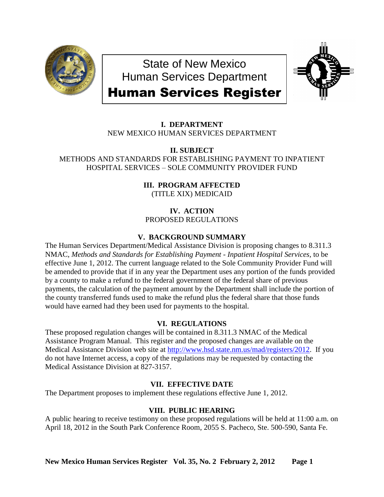

State of New Mexico Human Services Department



# Human Services Register

# **I. DEPARTMENT** NEW MEXICO HUMAN SERVICES DEPARTMENT

**II. SUBJECT**

METHODS AND STANDARDS FOR ESTABLISHING PAYMENT TO INPATIENT HOSPITAL SERVICES – SOLE COMMUNITY PROVIDER FUND

> **III. PROGRAM AFFECTED** (TITLE XIX) MEDICAID

**IV. ACTION** PROPOSED REGULATIONS

# **V. BACKGROUND SUMMARY**

The Human Services Department/Medical Assistance Division is proposing changes to 8.311.3 NMAC, *Methods and Standards for Establishing Payment - Inpatient Hospital Services,* to be effective June 1, 2012. The current language related to the Sole Community Provider Fund will be amended to provide that if in any year the Department uses any portion of the funds provided by a county to make a refund to the federal government of the federal share of previous payments, the calculation of the payment amount by the Department shall include the portion of the county transferred funds used to make the refund plus the federal share that those funds would have earned had they been used for payments to the hospital.

## **VI. REGULATIONS**

These proposed regulation changes will be contained in 8.311.3 NMAC of the Medical Assistance Program Manual. This register and the proposed changes are available on the Medical Assistance Division web site at [http://www.hsd.state.nm.us/mad/registers/2012.](http://www.hsd.state.nm.us/mad/registers/2012) If you do not have Internet access, a copy of the regulations may be requested by contacting the Medical Assistance Division at 827-3157.

# **VII. EFFECTIVE DATE**

The Department proposes to implement these regulations effective June 1, 2012.

## **VIII. PUBLIC HEARING**

A public hearing to receive testimony on these proposed regulations will be held at 11:00 a.m. on April 18, 2012 in the South Park Conference Room, 2055 S. Pacheco, Ste. 500-590, Santa Fe.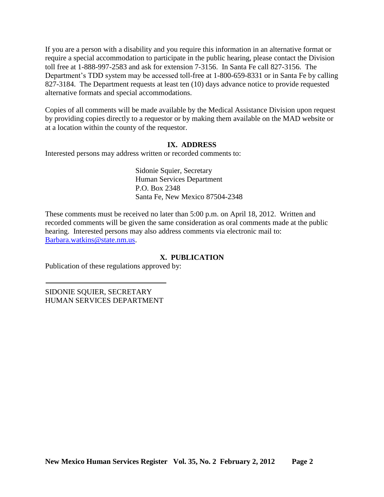If you are a person with a disability and you require this information in an alternative format or require a special accommodation to participate in the public hearing, please contact the Division toll free at 1-888-997-2583 and ask for extension 7-3156. In Santa Fe call 827-3156. The Department's TDD system may be accessed toll-free at 1-800-659-8331 or in Santa Fe by calling 827-3184. The Department requests at least ten (10) days advance notice to provide requested alternative formats and special accommodations.

Copies of all comments will be made available by the Medical Assistance Division upon request by providing copies directly to a requestor or by making them available on the MAD website or at a location within the county of the requestor.

## **IX. ADDRESS**

Interested persons may address written or recorded comments to:

Sidonie Squier, Secretary Human Services Department P.O. Box 2348 Santa Fe, New Mexico 87504-2348

These comments must be received no later than 5:00 p.m. on April 18, 2012. Written and recorded comments will be given the same consideration as oral comments made at the public hearing. Interested persons may also address comments via electronic mail to: [Barbara.watkins@state.nm.us.](mailto:Barbara.watkins@state.nm.us)

## **X. PUBLICATION**

Publication of these regulations approved by:

SIDONIE SQUIER, SECRETARY HUMAN SERVICES DEPARTMENT